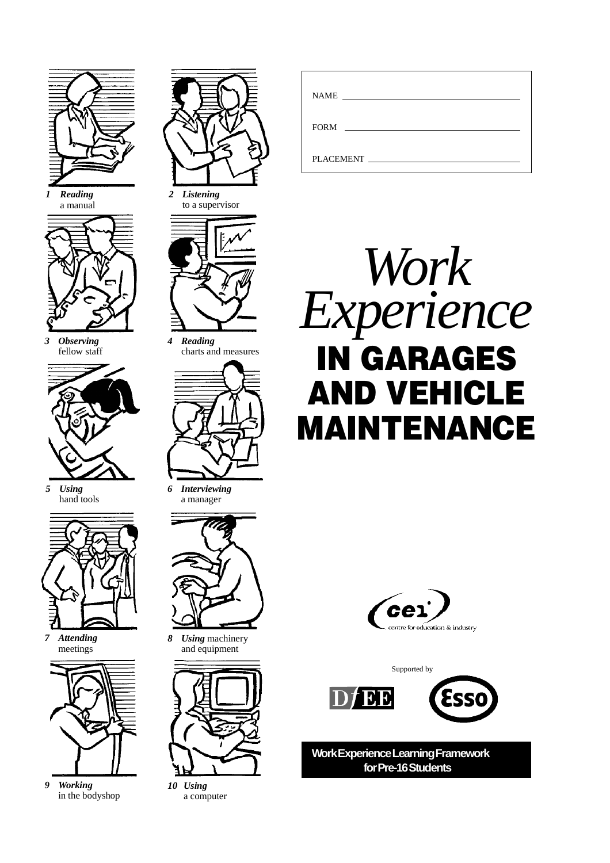

*1 Reading* a manual



*3 Observing* fellow staff



*5 Using* hand tools



*7 Attending* meetings



*9 Working* in the bodyshop



*2 Listening* to a supervisor



*4 Reading* charts and measures



*6 Interviewing* a manager



*8 Using* machinery and equipment



*10 Using* a computer

| <b>NAME</b> | <u> 1990 - Andrea State Barbara, política e a contra de la contra de la contra de la contra de la contra de la c</u> |  |
|-------------|----------------------------------------------------------------------------------------------------------------------|--|
|             |                                                                                                                      |  |
|             |                                                                                                                      |  |
|             |                                                                                                                      |  |
| PLACEMENT   |                                                                                                                      |  |







**Work Experience Learning Framework for Pre-16 Students**